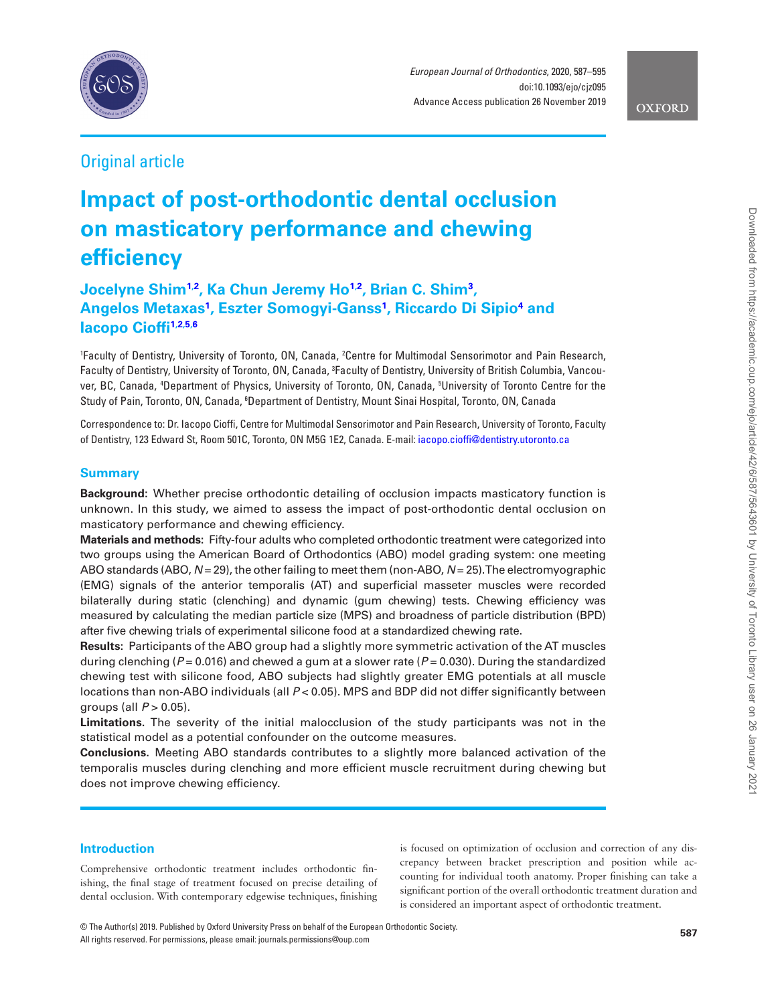

*European Journal of Orthodontics*, 2020, 587–595 doi:10.1093/ejo/cjz095 Advance Access publication 26 November 2019

**OXFORD** 

## Original article

# **Impact of post-orthodontic dental occlusion on masticatory performance and chewing efficiency**

**Jocelyne Shim<sup>[1,](#page-0-0)[2](#page-0-1)</sup>, Ka Chun Jeremy Ho<sup>1[,2](#page-0-1)</sup>, Brian C. Shim<sup>[3](#page-0-2)</sup>, Angelos Metaxas[1](#page-0-0) , Eszter Somogyi-Ganss[1](#page-0-0) , Riccardo Di Sipi[o4](#page-0-3) and Iacopo Ciof[fi1](#page-0-0)[,2,](#page-0-1)[5,](#page-0-4)[6](#page-0-5)**

<span id="page-0-4"></span><span id="page-0-3"></span><span id="page-0-2"></span><span id="page-0-1"></span><span id="page-0-0"></span>'Faculty of Dentistry, University of Toronto, ON, Canada, <sup>2</sup>Centre for Multimodal Sensorimotor and Pain Research, Faculty of Dentistry, University of Toronto, ON, Canada, 3 Faculty of Dentistry, University of British Columbia, Vancouver, BC, Canada, 4 Department of Physics, University of Toronto, ON, Canada, 5 University of Toronto Centre for the Study of Pain, Toronto, ON, Canada, <sup>6</sup>Department of Dentistry, Mount Sinai Hospital, Toronto, ON, Canada

<span id="page-0-5"></span>Correspondence to: Dr. Iacopo Cioffi, Centre for Multimodal Sensorimotor and Pain Research, University of Toronto, Faculty of Dentistry, 123 Edward St, Room 501C, Toronto, ON M5G 1E2, Canada. E-mail: [iacopo.cioffi@dentistry.utoronto.ca](mailto:iacopo.cioffi@dentistry.utoronto.ca?subject=)

## **Summary**

**Background:** Whether precise orthodontic detailing of occlusion impacts masticatory function is unknown. In this study, we aimed to assess the impact of post-orthodontic dental occlusion on masticatory performance and chewing efficiency.

**Materials and methods:** Fifty-four adults who completed orthodontic treatment were categorized into two groups using the American Board of Orthodontics (ABO) model grading system: one meeting ABO standards (ABO, *N* = 29), the other failing to meet them (non-ABO, *N* = 25). The electromyographic (EMG) signals of the anterior temporalis (AT) and superficial masseter muscles were recorded bilaterally during static (clenching) and dynamic (gum chewing) tests. Chewing efficiency was measured by calculating the median particle size (MPS) and broadness of particle distribution (BPD) after five chewing trials of experimental silicone food at a standardized chewing rate.

**Results:** Participants of the ABO group had a slightly more symmetric activation of the AT muscles during clenching (*P* = 0.016) and chewed a gum at a slower rate (*P* = 0.030). During the standardized chewing test with silicone food, ABO subjects had slightly greater EMG potentials at all muscle locations than non-ABO individuals (all *P* < 0.05). MPS and BDP did not differ significantly between groups (all *P* > 0.05).

**Limitations.** The severity of the initial malocclusion of the study participants was not in the statistical model as a potential confounder on the outcome measures.

**Conclusions.** Meeting ABO standards contributes to a slightly more balanced activation of the temporalis muscles during clenching and more efficient muscle recruitment during chewing but does not improve chewing efficiency.

## **Introduction**

Comprehensive orthodontic treatment includes orthodontic finishing, the final stage of treatment focused on precise detailing of dental occlusion. With contemporary edgewise techniques, finishing is focused on optimization of occlusion and correction of any discrepancy between bracket prescription and position while accounting for individual tooth anatomy. Proper finishing can take a significant portion of the overall orthodontic treatment duration and is considered an important aspect of orthodontic treatment.

**<sup>587</sup>** © The Author(s) 2019. Published by Oxford University Press on behalf of the European Orthodontic Society. All rights reserved. For permissions, please email: journals.permissions@oup.com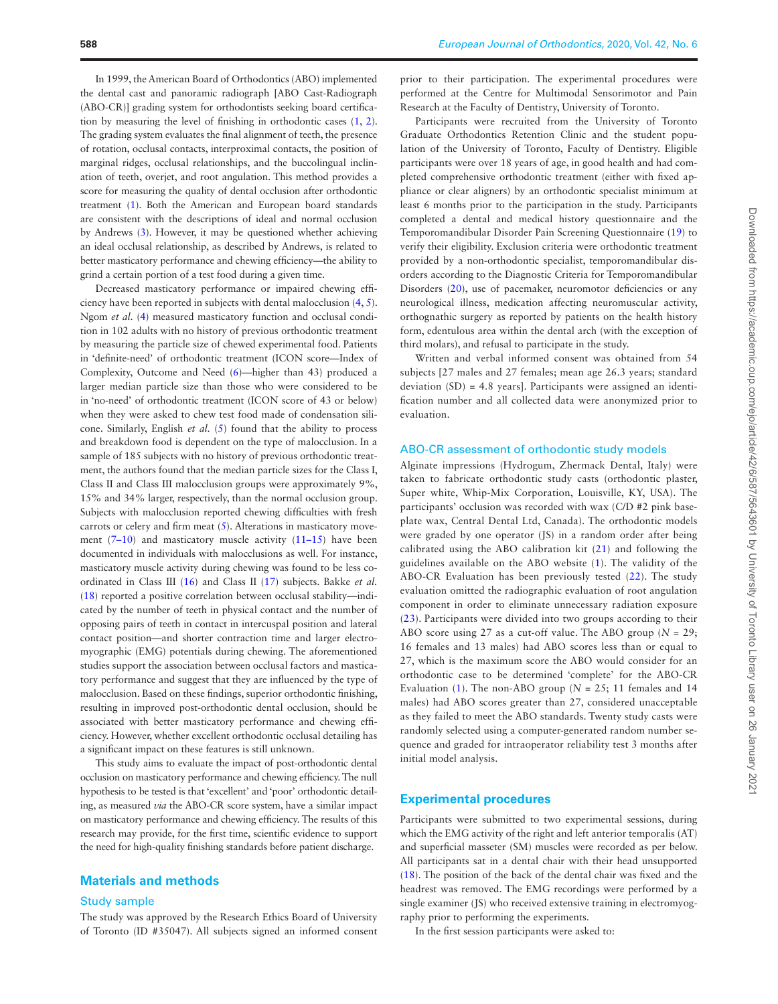In 1999, the American Board of Orthodontics (ABO) implemented the dental cast and panoramic radiograph [ABO Cast-Radiograph (ABO-CR)] grading system for orthodontists seeking board certification by measuring the level of finishing in orthodontic cases ([1](#page-6-0), [2\)](#page-6-1). The grading system evaluates the final alignment of teeth, the presence of rotation, occlusal contacts, interproximal contacts, the position of marginal ridges, occlusal relationships, and the buccolingual inclination of teeth, overjet, and root angulation. This method provides a score for measuring the quality of dental occlusion after orthodontic treatment [\(1\)](#page-6-0). Both the American and European board standards are consistent with the descriptions of ideal and normal occlusion by Andrews [\(3\)](#page-6-2). However, it may be questioned whether achieving an ideal occlusal relationship, as described by Andrews, is related to better masticatory performance and chewing efficiency—the ability to grind a certain portion of a test food during a given time.

Decreased masticatory performance or impaired chewing efficiency have been reported in subjects with dental malocclusion ([4](#page-6-3), [5\)](#page-7-0). Ngom *et al.* [\(4\)](#page-6-3) measured masticatory function and occlusal condition in 102 adults with no history of previous orthodontic treatment by measuring the particle size of chewed experimental food. Patients in 'definite-need' of orthodontic treatment (ICON score—Index of Complexity, Outcome and Need ([6\)](#page-7-1)—higher than 43) produced a larger median particle size than those who were considered to be in 'no-need' of orthodontic treatment (ICON score of 43 or below) when they were asked to chew test food made of condensation silicone. Similarly, English *et al.* ([5\)](#page-7-0) found that the ability to process and breakdown food is dependent on the type of malocclusion. In a sample of 185 subjects with no history of previous orthodontic treatment, the authors found that the median particle sizes for the Class I, Class II and Class III malocclusion groups were approximately 9%, 15% and 34% larger, respectively, than the normal occlusion group. Subjects with malocclusion reported chewing difficulties with fresh carrots or celery and firm meat ([5](#page-7-0)). Alterations in masticatory move-ment (7-[10](#page-7-3)) and masticatory muscle activity ([11](#page-7-4)-15) have been documented in individuals with malocclusions as well. For instance, masticatory muscle activity during chewing was found to be less coordinated in Class III ([16](#page-7-6)) and Class II [\(17\)](#page-7-7) subjects. Bakke *et al.* ([18\)](#page-7-8) reported a positive correlation between occlusal stability—indicated by the number of teeth in physical contact and the number of opposing pairs of teeth in contact in intercuspal position and lateral contact position—and shorter contraction time and larger electromyographic (EMG) potentials during chewing. The aforementioned studies support the association between occlusal factors and masticatory performance and suggest that they are influenced by the type of malocclusion. Based on these findings, superior orthodontic finishing, resulting in improved post-orthodontic dental occlusion, should be associated with better masticatory performance and chewing efficiency. However, whether excellent orthodontic occlusal detailing has a significant impact on these features is still unknown.

This study aims to evaluate the impact of post-orthodontic dental occlusion on masticatory performance and chewing efficiency. The null hypothesis to be tested is that 'excellent' and 'poor' orthodontic detailing, as measured *via* the ABO-CR score system, have a similar impact on masticatory performance and chewing efficiency. The results of this research may provide, for the first time, scientific evidence to support the need for high-quality finishing standards before patient discharge.

#### **Materials and methods**

#### Study sample

The study was approved by the Research Ethics Board of University of Toronto (ID #35047). All subjects signed an informed consent prior to their participation. The experimental procedures were performed at the Centre for Multimodal Sensorimotor and Pain Research at the Faculty of Dentistry, University of Toronto.

Participants were recruited from the University of Toronto Graduate Orthodontics Retention Clinic and the student population of the University of Toronto, Faculty of Dentistry. Eligible participants were over 18 years of age, in good health and had completed comprehensive orthodontic treatment (either with fixed appliance or clear aligners) by an orthodontic specialist minimum at least 6 months prior to the participation in the study. Participants completed a dental and medical history questionnaire and the Temporomandibular Disorder Pain Screening Questionnaire [\(19\)](#page-7-9) to verify their eligibility. Exclusion criteria were orthodontic treatment provided by a non-orthodontic specialist, temporomandibular disorders according to the Diagnostic Criteria for Temporomandibular Disorders ([20\)](#page-7-10), use of pacemaker, neuromotor deficiencies or any neurological illness, medication affecting neuromuscular activity, orthognathic surgery as reported by patients on the health history form, edentulous area within the dental arch (with the exception of third molars), and refusal to participate in the study.

Written and verbal informed consent was obtained from 54 subjects [27 males and 27 females; mean age 26.3 years; standard deviation (SD) = 4.8 years]. Participants were assigned an identification number and all collected data were anonymized prior to evaluation.

### ABO-CR assessment of orthodontic study models

Alginate impressions (Hydrogum, Zhermack Dental, Italy) were taken to fabricate orthodontic study casts (orthodontic plaster, Super white, Whip-Mix Corporation, Louisville, KY, USA). The participants' occlusion was recorded with wax (C/D #2 pink baseplate wax, Central Dental Ltd, Canada). The orthodontic models were graded by one operator (JS) in a random order after being calibrated using the ABO calibration kit ([21](#page-7-11)) and following the guidelines available on the ABO website [\(1\)](#page-6-0). The validity of the ABO-CR Evaluation has been previously tested ([22\)](#page-7-12). The study evaluation omitted the radiographic evaluation of root angulation component in order to eliminate unnecessary radiation exposure ([23\)](#page-7-13). Participants were divided into two groups according to their ABO score using 27 as a cut-off value. The ABO group  $(N = 29)$ ; 16 females and 13 males) had ABO scores less than or equal to 27, which is the maximum score the ABO would consider for an orthodontic case to be determined 'complete' for the ABO-CR Evaluation ([1\)](#page-6-0). The non-ABO group ( $N = 25$ ; 11 females and 14 males) had ABO scores greater than 27, considered unacceptable as they failed to meet the ABO standards. Twenty study casts were randomly selected using a computer-generated random number sequence and graded for intraoperator reliability test 3 months after initial model analysis.

## **Experimental procedures**

Participants were submitted to two experimental sessions, during which the EMG activity of the right and left anterior temporalis (AT) and superficial masseter (SM) muscles were recorded as per below. All participants sat in a dental chair with their head unsupported ([18\)](#page-7-8). The position of the back of the dental chair was fixed and the headrest was removed. The EMG recordings were performed by a single examiner (JS) who received extensive training in electromyography prior to performing the experiments.

In the first session participants were asked to: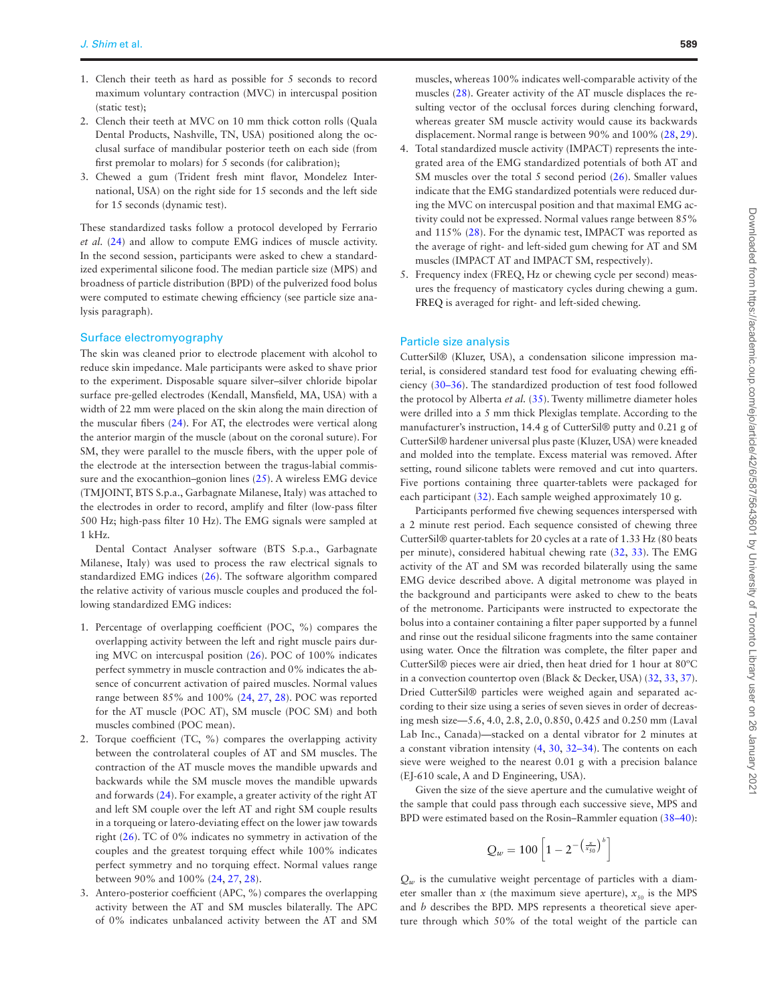- 1. Clench their teeth as hard as possible for 5 seconds to record maximum voluntary contraction (MVC) in intercuspal position (static test);
- 2. Clench their teeth at MVC on 10 mm thick cotton rolls (Quala Dental Products, Nashville, TN, USA) positioned along the occlusal surface of mandibular posterior teeth on each side (from first premolar to molars) for 5 seconds (for calibration);
- 3. Chewed a gum (Trident fresh mint flavor, Mondelez International, USA) on the right side for 15 seconds and the left side for 15 seconds (dynamic test).

These standardized tasks follow a protocol developed by Ferrario *et al.* [\(24\)](#page-7-14) and allow to compute EMG indices of muscle activity. In the second session, participants were asked to chew a standardized experimental silicone food. The median particle size (MPS) and broadness of particle distribution (BPD) of the pulverized food bolus were computed to estimate chewing efficiency (see particle size analysis paragraph).

## Surface electromyography

The skin was cleaned prior to electrode placement with alcohol to reduce skin impedance. Male participants were asked to shave prior to the experiment. Disposable square silver–silver chloride bipolar surface pre-gelled electrodes (Kendall, Mansfield, MA, USA) with a width of 22 mm were placed on the skin along the main direction of the muscular fibers [\(24\)](#page-7-14). For AT, the electrodes were vertical along the anterior margin of the muscle (about on the coronal suture). For SM, they were parallel to the muscle fibers, with the upper pole of the electrode at the intersection between the tragus-labial commissure and the exocanthion–gonion lines [\(25](#page-7-15)). A wireless EMG device (TMJOINT, BTS S.p.a., Garbagnate Milanese, Italy) was attached to the electrodes in order to record, amplify and filter (low-pass filter 500 Hz; high-pass filter 10 Hz). The EMG signals were sampled at 1 kHz.

Dental Contact Analyser software (BTS S.p.a., Garbagnate Milanese, Italy) was used to process the raw electrical signals to standardized EMG indices [\(26](#page-7-16)). The software algorithm compared the relative activity of various muscle couples and produced the following standardized EMG indices:

- 1. Percentage of overlapping coefficient (POC, %) compares the overlapping activity between the left and right muscle pairs during MVC on intercuspal position ([26\)](#page-7-16). POC of 100% indicates perfect symmetry in muscle contraction and 0% indicates the absence of concurrent activation of paired muscles. Normal values range between 85% and 100% [\(24](#page-7-14), [27,](#page-7-17) [28](#page-7-18)). POC was reported for the AT muscle (POC AT), SM muscle (POC SM) and both muscles combined (POC mean).
- 2. Torque coefficient (TC, %) compares the overlapping activity between the controlateral couples of AT and SM muscles. The contraction of the AT muscle moves the mandible upwards and backwards while the SM muscle moves the mandible upwards and forwards ([24\)](#page-7-14). For example, a greater activity of the right AT and left SM couple over the left AT and right SM couple results in a torqueing or latero-deviating effect on the lower jaw towards right ([26\)](#page-7-16). TC of 0% indicates no symmetry in activation of the couples and the greatest torquing effect while 100% indicates perfect symmetry and no torquing effect. Normal values range between 90% and 100% [\(24](#page-7-14), [27](#page-7-17), [28](#page-7-18)).
- 3. Antero-posterior coefficient (APC, %) compares the overlapping activity between the AT and SM muscles bilaterally. The APC of 0% indicates unbalanced activity between the AT and SM

muscles, whereas 100% indicates well-comparable activity of the muscles [\(28\)](#page-7-18). Greater activity of the AT muscle displaces the resulting vector of the occlusal forces during clenching forward, whereas greater SM muscle activity would cause its backwards displacement. Normal range is between 90% and 100% ([28,](#page-7-18) [29\)](#page-7-19).

- 4. Total standardized muscle activity (IMPACT) represents the integrated area of the EMG standardized potentials of both AT and SM muscles over the total 5 second period ([26\)](#page-7-16). Smaller values indicate that the EMG standardized potentials were reduced during the MVC on intercuspal position and that maximal EMG activity could not be expressed. Normal values range between 85% and 115% ([28\)](#page-7-18). For the dynamic test, IMPACT was reported as the average of right- and left-sided gum chewing for AT and SM muscles (IMPACT AT and IMPACT SM, respectively).
- 5. Frequency index (FREQ, Hz or chewing cycle per second) measures the frequency of masticatory cycles during chewing a gum. FREQ is averaged for right- and left-sided chewing.

#### Particle size analysis

CutterSil® (Kluzer, USA), a condensation silicone impression material, is considered standard test food for evaluating chewing efficiency [\(30–](#page-7-20)[36\)](#page-7-21). The standardized production of test food followed the protocol by Alberta *et al.* ([35\)](#page-7-22). Twenty millimetre diameter holes were drilled into a 5 mm thick Plexiglas template. According to the manufacturer's instruction, 14.4 g of CutterSil® putty and 0.21 g of CutterSil® hardener universal plus paste (Kluzer, USA) were kneaded and molded into the template. Excess material was removed. After setting, round silicone tablets were removed and cut into quarters. Five portions containing three quarter-tablets were packaged for each participant ([32](#page-7-23)). Each sample weighed approximately 10 g.

Participants performed five chewing sequences interspersed with a 2 minute rest period. Each sequence consisted of chewing three CutterSil® quarter-tablets for 20 cycles at a rate of 1.33 Hz (80 beats per minute), considered habitual chewing rate [\(32](#page-7-23), [33](#page-7-24)). The EMG activity of the AT and SM was recorded bilaterally using the same EMG device described above. A digital metronome was played in the background and participants were asked to chew to the beats of the metronome. Participants were instructed to expectorate the bolus into a container containing a filter paper supported by a funnel and rinse out the residual silicone fragments into the same container using water. Once the filtration was complete, the filter paper and CutterSil® pieces were air dried, then heat dried for 1 hour at 80ºC in a convection countertop oven (Black & Decker, USA) [\(32](#page-7-23), [33,](#page-7-24) [37\)](#page-7-25). Dried CutterSil® particles were weighed again and separated according to their size using a series of seven sieves in order of decreasing mesh size—5.6, 4.0, 2.8, 2.0, 0.850, 0.425 and 0.250 mm (Laval Lab Inc., Canada)—stacked on a dental vibrator for 2 minutes at a constant vibration intensity ([4](#page-6-3), [30,](#page-7-20) [32](#page-7-23)[–34](#page-7-26)). The contents on each sieve were weighed to the nearest 0.01 g with a precision balance (EJ-610 scale, A and D Engineering, USA).

Given the size of the sieve aperture and the cumulative weight of the sample that could pass through each successive sieve, MPS and BPD were estimated based on the Rosin–Rammler equation [\(38](#page-7-27)[–40](#page-7-28)):

$$
Q_w = 100 \left[ 1 - 2^{-\left(\frac{x}{x_{50}}\right)^b} \right]
$$

 $Q_w$  is the cumulative weight percentage of particles with a diameter smaller than *x* (the maximum sieve aperture),  $x_{50}$  is the MPS and *b* describes the BPD. MPS represents a theoretical sieve aperture through which 50% of the total weight of the particle can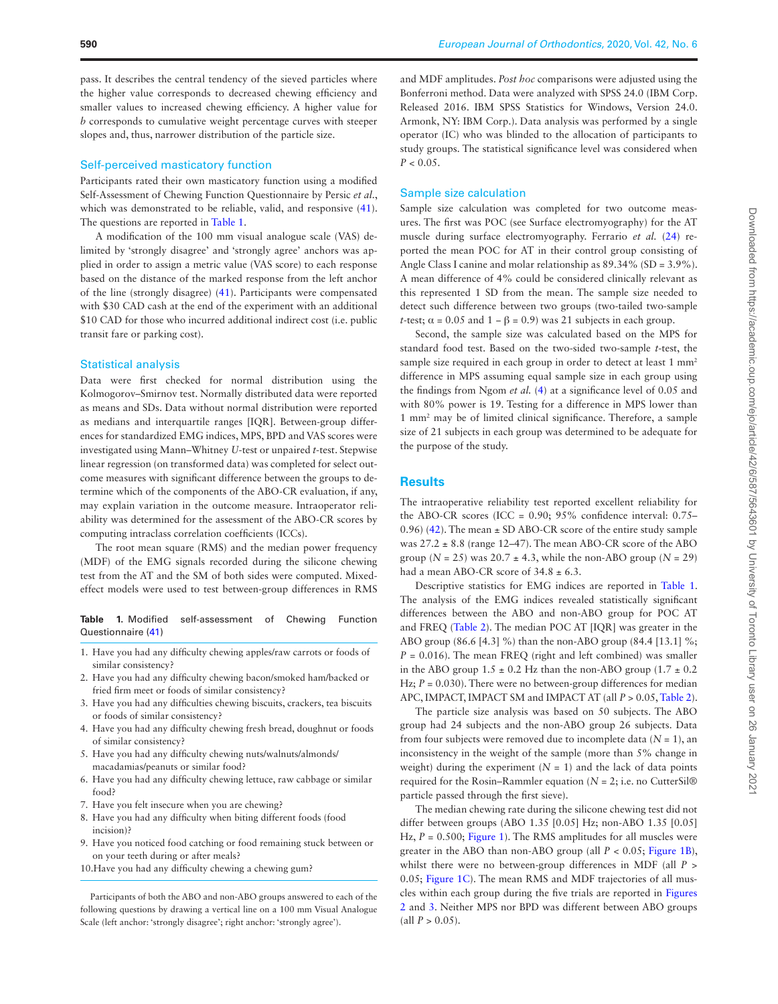#### Self-perceived masticatory function

Participants rated their own masticatory function using a modified Self-Assessment of Chewing Function Questionnaire by Persic *et al*., which was demonstrated to be reliable, valid, and responsive ([41\)](#page-7-29). The questions are reported in [Table 1.](#page-3-0)

A modification of the 100 mm visual analogue scale (VAS) delimited by 'strongly disagree' and 'strongly agree' anchors was applied in order to assign a metric value (VAS score) to each response based on the distance of the marked response from the left anchor of the line (strongly disagree) [\(41](#page-7-29)). Participants were compensated with \$30 CAD cash at the end of the experiment with an additional \$10 CAD for those who incurred additional indirect cost (i.e. public transit fare or parking cost).

#### Statistical analysis

Data were first checked for normal distribution using the Kolmogorov–Smirnov test. Normally distributed data were reported as means and SDs. Data without normal distribution were reported as medians and interquartile ranges [IQR]. Between-group differences for standardized EMG indices, MPS, BPD and VAS scores were investigated using Mann–Whitney *U*-test or unpaired *t*-test. Stepwise linear regression (on transformed data) was completed for select outcome measures with significant difference between the groups to determine which of the components of the ABO-CR evaluation, if any, may explain variation in the outcome measure. Intraoperator reliability was determined for the assessment of the ABO-CR scores by computing intraclass correlation coefficients (ICCs).

The root mean square (RMS) and the median power frequency (MDF) of the EMG signals recorded during the silicone chewing test from the AT and the SM of both sides were computed. Mixedeffect models were used to test between-group differences in RMS

<span id="page-3-0"></span>**Table 1.** Modified self-assessment of Chewing Function Questionnaire ([41](#page-7-29))

- 1. Have you had any difficulty chewing apples/raw carrots or foods of similar consistency?
- 2. Have you had any difficulty chewing bacon/smoked ham/backed or fried firm meet or foods of similar consistency?
- 3. Have you had any difficulties chewing biscuits, crackers, tea biscuits or foods of similar consistency?
- 4. Have you had any difficulty chewing fresh bread, doughnut or foods of similar consistency?
- 5. Have you had any difficulty chewing nuts/walnuts/almonds/ macadamias/peanuts or similar food?
- 6. Have you had any difficulty chewing lettuce, raw cabbage or similar food?
- 7. Have you felt insecure when you are chewing?
- 8. Have you had any difficulty when biting different foods (food incision)?
- 9. Have you noticed food catching or food remaining stuck between or on your teeth during or after meals?
- 10.Have you had any difficulty chewing a chewing gum?

Participants of both the ABO and non-ABO groups answered to each of the following questions by drawing a vertical line on a 100 mm Visual Analogue Scale (left anchor: 'strongly disagree'; right anchor: 'strongly agree').

and MDF amplitudes. *Post hoc* comparisons were adjusted using the Bonferroni method. Data were analyzed with SPSS 24.0 (IBM Corp. Released 2016. IBM SPSS Statistics for Windows, Version 24.0. Armonk, NY: IBM Corp.). Data analysis was performed by a single operator (IC) who was blinded to the allocation of participants to study groups. The statistical significance level was considered when  $P < 0.05$ .

#### Sample size calculation

Sample size calculation was completed for two outcome measures. The first was POC (see Surface electromyography) for the AT muscle during surface electromyography. Ferrario *et al.* [\(24\)](#page-7-14) reported the mean POC for AT in their control group consisting of Angle Class I canine and molar relationship as 89.34% (SD = 3.9%). A mean difference of 4% could be considered clinically relevant as this represented 1 SD from the mean. The sample size needed to detect such difference between two groups (two-tailed two-sample *t*-test;  $\alpha = 0.05$  and  $1 - \beta = 0.9$ ) was 21 subjects in each group.

Second, the sample size was calculated based on the MPS for standard food test. Based on the two-sided two-sample *t*-test, the sample size required in each group in order to detect at least 1 mm<sup>2</sup> difference in MPS assuming equal sample size in each group using the findings from Ngom *et al.* ([4](#page-6-3)) at a significance level of 0.05 and with 80% power is 19. Testing for a difference in MPS lower than 1 mm2 may be of limited clinical significance. Therefore, a sample size of 21 subjects in each group was determined to be adequate for the purpose of the study.

#### **Results**

The intraoperative reliability test reported excellent reliability for the ABO-CR scores (ICC =  $0.90$ ;  $95\%$  confidence interval:  $0.75-$ 0.96) [\(42\)](#page-7-30). The mean ± SD ABO-CR score of the entire study sample was  $27.2 \pm 8.8$  (range 12–47). The mean ABO-CR score of the ABO group  $(N = 25)$  was  $20.7 \pm 4.3$ , while the non-ABO group  $(N = 29)$ had a mean ABO-CR score of  $34.8 \pm 6.3$ .

Descriptive statistics for EMG indices are reported in [Table 1](#page-3-0). The analysis of the EMG indices revealed statistically significant differences between the ABO and non-ABO group for POC AT and FREQ [\(Table 2\)](#page-4-0). The median POC AT [IQR] was greater in the ABO group (86.6 [4.3] %) than the non-ABO group (84.4 [13.1] %;  $P = 0.016$ ). The mean FREQ (right and left combined) was smaller in the ABO group  $1.5 \pm 0.2$  Hz than the non-ABO group  $(1.7 \pm 0.2)$ Hz;  $P = 0.030$ ). There were no between-group differences for median APC, IMPACT, IMPACT SM and IMPACT AT (all *P* > 0.05, [Table 2\)](#page-4-0).

The particle size analysis was based on 50 subjects. The ABO group had 24 subjects and the non-ABO group 26 subjects. Data from four subjects were removed due to incomplete data  $(N = 1)$ , an inconsistency in the weight of the sample (more than 5% change in weight) during the experiment  $(N = 1)$  and the lack of data points required for the Rosin–Rammler equation ( $N = 2$ ; i.e. no CutterSil<sup>®</sup> particle passed through the first sieve).

The median chewing rate during the silicone chewing test did not differ between groups (ABO 1.35 [0.05] Hz; non-ABO 1.35 [0.05] Hz,  $P = 0.500$ ; [Figure 1](#page-4-1)). The RMS amplitudes for all muscles were greater in the ABO than non-ABO group (all *P* < 0.05; [Figure 1B\)](#page-4-1), whilst there were no between-group differences in MDF (all *P* > 0.05; [Figure 1C](#page-4-1)). The mean RMS and MDF trajectories of all muscles within each group during the five trials are reported in [Figures](#page-4-2) [2](#page-4-2) and [3](#page-5-0). Neither MPS nor BPD was different between ABO groups  $\text{(all } P > 0.05\text{).}$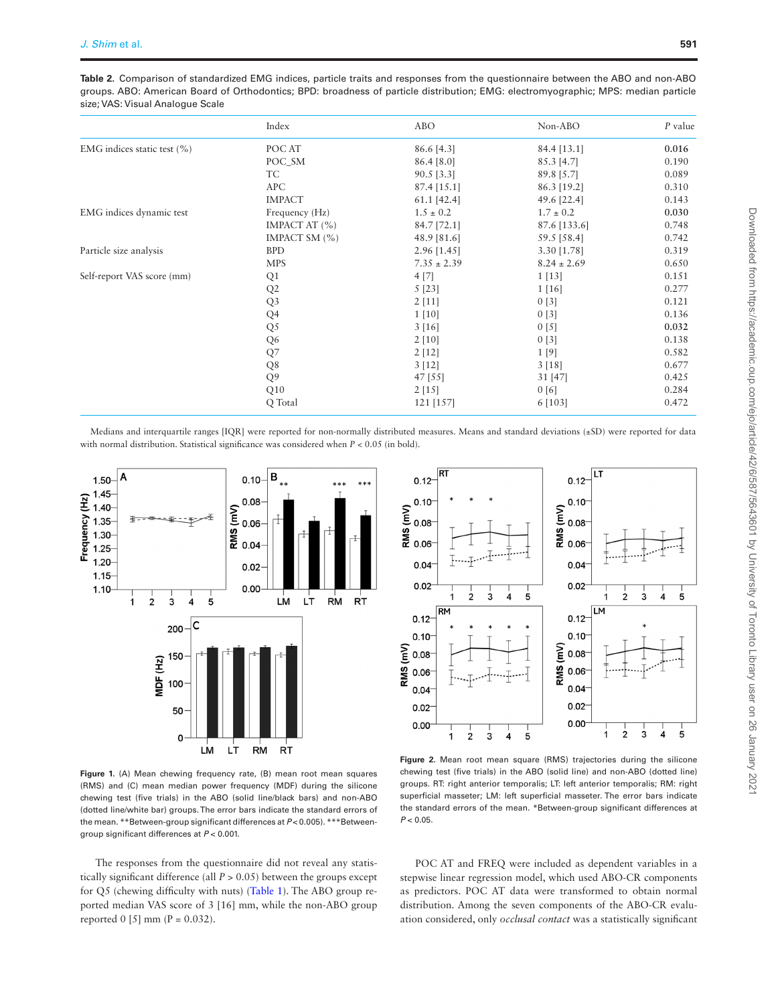<span id="page-4-0"></span>**Table 2.** Comparison of standardized EMG indices, particle traits and responses from the questionnaire between the ABO and non-ABO groups. ABO: American Board of Orthodontics; BPD: broadness of particle distribution; EMG: electromyographic; MPS: median particle size; VAS: Visual Analogue Scale

|                                 | Index             | <b>ABO</b>    | Non-ABO         | $P$ value |
|---------------------------------|-------------------|---------------|-----------------|-----------|
| EMG indices static test $(\% )$ | POC AT            | 86.6 [4.3]    | 84.4 [13.1]     | 0.016     |
|                                 | POC_SM            | 86.4 [8.0]    | 85.3 [4.7]      | 0.190     |
|                                 | TC                | $90.5$ [3.3]  | 89.8 [5.7]      | 0.089     |
|                                 | <b>APC</b>        | $87.4$ [15.1] | 86.3 [19.2]     | 0.310     |
|                                 | <b>IMPACT</b>     | 61.1 [42.4]   | 49.6 [22.4]     | 0.143     |
| EMG indices dynamic test        | Frequency (Hz)    | $1.5 \pm 0.2$ | $1.7 \pm 0.2$   | 0.030     |
|                                 | IMPACT AT $(\% )$ | 84.7 [72.1]   | 87.6 [133.6]    | 0.748     |
|                                 | IMPACT SM (%)     | 48.9 [81.6]   | 59.5 [58.4]     | 0.742     |
| Particle size analysis          | <b>BPD</b>        | $2.96$ [1.45] | 3.30 [1.78]     | 0.319     |
|                                 | <b>MPS</b>        | $7.35\pm2.39$ | $8.24 \pm 2.69$ | 0.650     |
| Self-report VAS score (mm)      | Q1                | 4 [7]         | 1[13]           | 0.151     |
|                                 | Q2                | 5 [23]        | 1[16]           | 0.277     |
|                                 | Q3                | 2[11]         | 0[3]            | 0.121     |
|                                 | Q <sub>4</sub>    | $1\,[10]$     | 0[3]            | 0.136     |
|                                 | Q <sub>5</sub>    | 3[16]         | 0 [5]           | 0.032     |
|                                 | Q <sub>6</sub>    | 2[10]         | 0[3]            | 0.138     |
|                                 | Q7                | 2[12]         | 1[9]            | 0.582     |
|                                 | Q8                | 3[12]         | 3[18]           | 0.677     |
|                                 | Q <sub>9</sub>    | 47 [55]       | 31 [47]         | 0.425     |
|                                 | Q10               | 2[15]         | 0[6]            | 0.284     |
|                                 | Q Total           | 121 [157]     | $6$ [103]       | 0.472     |

Medians and interquartile ranges [IQR] were reported for non-normally distributed measures. Means and standard deviations (±SD) were reported for data with normal distribution. Statistical significance was considered when *P* < 0.05 (in bold).



<span id="page-4-1"></span>**Figure 1.** (A) Mean chewing frequency rate, (B) mean root mean squares (RMS) and (C) mean median power frequency (MDF) during the silicone chewing test (five trials) in the ABO (solid line/black bars) and non-ABO (dotted line/white bar) groups. The error bars indicate the standard errors of the mean. \*\*Between-group significant differences at  $P < 0.005$ ). \*\*\*Betweengroup significant differences at *P* < 0.001.

The responses from the questionnaire did not reveal any statistically significant difference (all  $P > 0.05$ ) between the groups except for Q5 (chewing difficulty with nuts) ([Table 1\)](#page-3-0). The ABO group reported median VAS score of 3 [16] mm, while the non-ABO group reported  $0$  [5] mm (P = 0.032).



<span id="page-4-2"></span>**Figure 2.** Mean root mean square (RMS) trajectories during the silicone chewing test (five trials) in the ABO (solid line) and non-ABO (dotted line) groups. RT: right anterior temporalis; LT: left anterior temporalis; RM: right superficial masseter; LM: left superficial masseter. The error bars indicate the standard errors of the mean. \*Between-group significant differences at *P* < 0.05.

POC AT and FREQ were included as dependent variables in a stepwise linear regression model, which used ABO-CR components as predictors. POC AT data were transformed to obtain normal distribution. Among the seven components of the ABO-CR evaluation considered, only *occlusal contact* was a statistically significant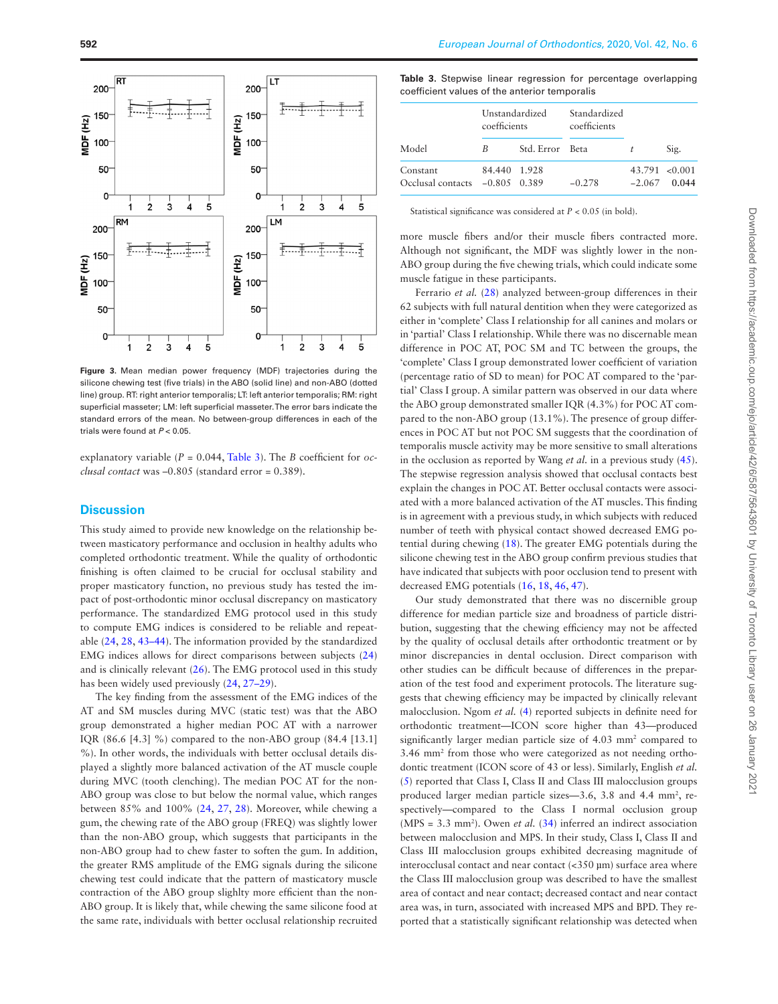

<span id="page-5-0"></span>**Figure 3.** Mean median power frequency (MDF) trajectories during the silicone chewing test (five trials) in the ABO (solid line) and non-ABO (dotted line) group. RT: right anterior temporalis; LT: left anterior temporalis; RM: right superficial masseter; LM: left superficial masseter. The error bars indicate the standard errors of the mean. No between-group differences in each of the trials were found at *P* < 0.05.

explanatory variable (*P* = 0.044, [Table 3\)](#page-5-1). The *B* coefficient for *occlusal contact* was –0.805 (standard error = 0.389).

## **Discussion**

This study aimed to provide new knowledge on the relationship between masticatory performance and occlusion in healthy adults who completed orthodontic treatment. While the quality of orthodontic finishing is often claimed to be crucial for occlusal stability and proper masticatory function, no previous study has tested the impact of post-orthodontic minor occlusal discrepancy on masticatory performance. The standardized EMG protocol used in this study to compute EMG indices is considered to be reliable and repeatable [\(24](#page-7-14), [28](#page-7-18), [43–](#page-7-31)[44](#page-7-32)). The information provided by the standardized EMG indices allows for direct comparisons between subjects ([24](#page-7-14)) and is clinically relevant ([26\)](#page-7-16). The EMG protocol used in this study has been widely used previously  $(24, 27-29)$  $(24, 27-29)$  $(24, 27-29)$  $(24, 27-29)$ .

The key finding from the assessment of the EMG indices of the AT and SM muscles during MVC (static test) was that the ABO group demonstrated a higher median POC AT with a narrower IQR (86.6 [4.3] %) compared to the non-ABO group (84.4 [13.1] %). In other words, the individuals with better occlusal details displayed a slightly more balanced activation of the AT muscle couple during MVC (tooth clenching). The median POC AT for the non-ABO group was close to but below the normal value, which ranges between 85% and 100% [\(24](#page-7-14), [27](#page-7-17), [28](#page-7-18)). Moreover, while chewing a gum, the chewing rate of the ABO group (FREQ) was slightly lower than the non-ABO group, which suggests that participants in the non-ABO group had to chew faster to soften the gum. In addition, the greater RMS amplitude of the EMG signals during the silicone chewing test could indicate that the pattern of masticatory muscle contraction of the ABO group slighlty more efficient than the non-ABO group. It is likely that, while chewing the same silicone food at the same rate, individuals with better occlusal relationship recruited

<span id="page-5-1"></span>

|                                               |  |  |  |  |  | Table 3. Stepwise linear regression for percentage overlapping |
|-----------------------------------------------|--|--|--|--|--|----------------------------------------------------------------|
| coefficient values of the anterior temporalis |  |  |  |  |  |                                                                |

|                                            | Unstandardized<br>coefficients |                 | Standardized<br>coefficients |          |                             |
|--------------------------------------------|--------------------------------|-----------------|------------------------------|----------|-----------------------------|
| Model                                      | B                              | Std. Error Beta |                              | t        | Sig.                        |
| Constant<br>Occlusal contacts -0.805 0.389 | 84.440 1.928                   |                 | $-0.278$                     | $-2.067$ | $43.791 \le 0.001$<br>0.044 |

Statistical significance was considered at *P* < 0.05 (in bold).

more muscle fibers and/or their muscle fibers contracted more. Although not significant, the MDF was slightly lower in the non-ABO group during the five chewing trials, which could indicate some muscle fatigue in these participants.

Ferrario *et al.* [\(28](#page-7-18)) analyzed between-group differences in their 62 subjects with full natural dentition when they were categorized as either in 'complete' Class I relationship for all canines and molars or in 'partial' Class I relationship. While there was no discernable mean difference in POC AT, POC SM and TC between the groups, the 'complete' Class I group demonstrated lower coefficient of variation (percentage ratio of SD to mean) for POC AT compared to the 'partial' Class I group. A similar pattern was observed in our data where the ABO group demonstrated smaller IQR (4.3%) for POC AT compared to the non-ABO group (13.1%). The presence of group differences in POC AT but not POC SM suggests that the coordination of temporalis muscle activity may be more sensitive to small alterations in the occlusion as reported by Wang *et al.* in a previous study ([45\)](#page-8-0). The stepwise regression analysis showed that occlusal contacts best explain the changes in POC AT. Better occlusal contacts were associated with a more balanced activation of the AT muscles. This finding is in agreement with a previous study, in which subjects with reduced number of teeth with physical contact showed decreased EMG potential during chewing ([18\)](#page-7-8). The greater EMG potentials during the silicone chewing test in the ABO group confirm previous studies that have indicated that subjects with poor occlusion tend to present with decreased EMG potentials ([16,](#page-7-6) [18,](#page-7-8) [46,](#page-8-1) [47\)](#page-8-2).

Our study demonstrated that there was no discernible group difference for median particle size and broadness of particle distribution, suggesting that the chewing efficiency may not be affected by the quality of occlusal details after orthodontic treatment or by minor discrepancies in dental occlusion. Direct comparison with other studies can be difficult because of differences in the preparation of the test food and experiment protocols. The literature suggests that chewing efficiency may be impacted by clinically relevant malocclusion. Ngom *et al.* ([4](#page-6-3)) reported subjects in definite need for orthodontic treatment—ICON score higher than 43—produced significantly larger median particle size of 4.03 mm<sup>2</sup> compared to 3.46 mm2 from those who were categorized as not needing orthodontic treatment (ICON score of 43 or less). Similarly, English *et al.* ([5](#page-7-0)) reported that Class I, Class II and Class III malocclusion groups produced larger median particle sizes-3.6, 3.8 and 4.4 mm<sup>2</sup>, respectively—compared to the Class I normal occlusion group  $(MPS = 3.3$  mm<sup>2</sup>). Owen *et al.* [\(34\)](#page-7-26) inferred an indirect association between malocclusion and MPS. In their study, Class I, Class II and Class III malocclusion groups exhibited decreasing magnitude of interocclusal contact and near contact (<350 µm) surface area where the Class III malocclusion group was described to have the smallest area of contact and near contact; decreased contact and near contact area was, in turn, associated with increased MPS and BPD. They reported that a statistically significant relationship was detected when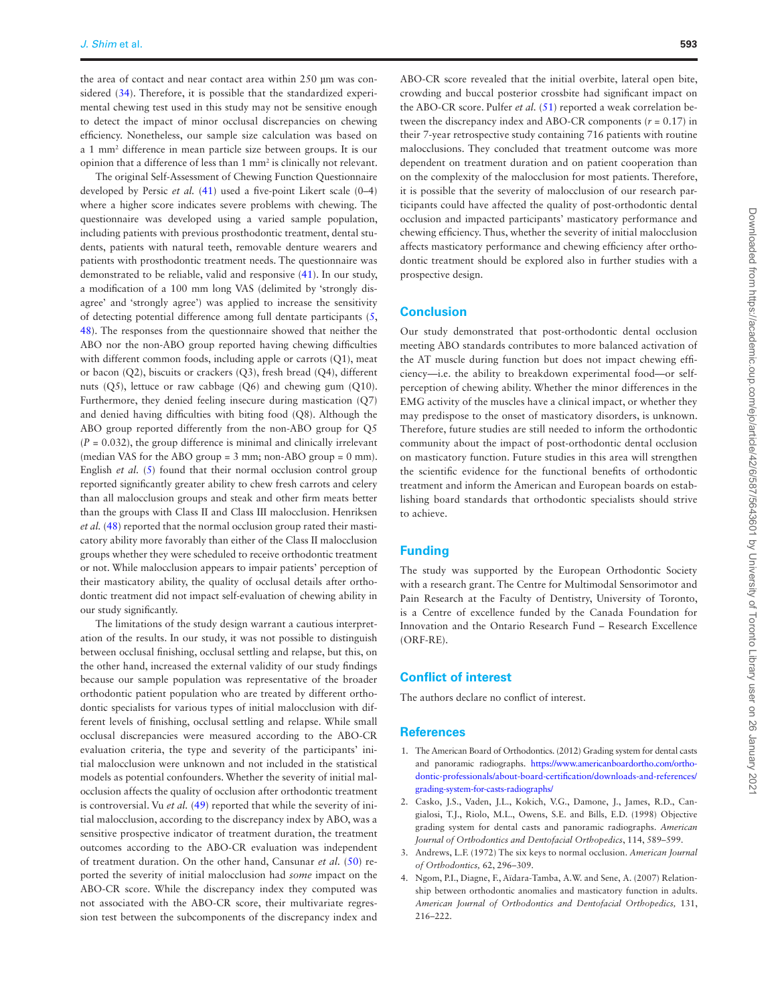the area of contact and near contact area within 250 µm was considered [\(34](#page-7-26)). Therefore, it is possible that the standardized experimental chewing test used in this study may not be sensitive enough to detect the impact of minor occlusal discrepancies on chewing efficiency. Nonetheless, our sample size calculation was based on a 1 mm2 difference in mean particle size between groups. It is our opinion that a difference of less than 1 mm2 is clinically not relevant.

The original Self-Assessment of Chewing Function Questionnaire developed by Persic *et al.* [\(41\)](#page-7-29) used a five-point Likert scale (0–4) where a higher score indicates severe problems with chewing. The questionnaire was developed using a varied sample population, including patients with previous prosthodontic treatment, dental students, patients with natural teeth, removable denture wearers and patients with prosthodontic treatment needs. The questionnaire was demonstrated to be reliable, valid and responsive [\(41](#page-7-29)). In our study, a modification of a 100 mm long VAS (delimited by 'strongly disagree' and 'strongly agree') was applied to increase the sensitivity of detecting potential difference among full dentate participants ([5](#page-7-0), [48\)](#page-8-3). The responses from the questionnaire showed that neither the ABO nor the non-ABO group reported having chewing difficulties with different common foods, including apple or carrots (Q1), meat or bacon (Q2), biscuits or crackers (Q3), fresh bread (Q4), different nuts (Q5), lettuce or raw cabbage (Q6) and chewing gum (Q10). Furthermore, they denied feeling insecure during mastication (Q7) and denied having difficulties with biting food (Q8). Although the ABO group reported differently from the non-ABO group for Q5  $(P = 0.032)$ , the group difference is minimal and clinically irrelevant (median VAS for the ABO group = 3 mm; non-ABO group = 0 mm). English *et al.* [\(5\)](#page-7-0) found that their normal occlusion control group reported significantly greater ability to chew fresh carrots and celery than all malocclusion groups and steak and other firm meats better than the groups with Class II and Class III malocclusion. Henriksen *et al.* [\(48\)](#page-8-3) reported that the normal occlusion group rated their masticatory ability more favorably than either of the Class II malocclusion groups whether they were scheduled to receive orthodontic treatment or not. While malocclusion appears to impair patients' perception of their masticatory ability, the quality of occlusal details after orthodontic treatment did not impact self-evaluation of chewing ability in our study significantly.

The limitations of the study design warrant a cautious interpretation of the results. In our study, it was not possible to distinguish between occlusal finishing, occlusal settling and relapse, but this, on the other hand, increased the external validity of our study findings because our sample population was representative of the broader orthodontic patient population who are treated by different orthodontic specialists for various types of initial malocclusion with different levels of finishing, occlusal settling and relapse. While small occlusal discrepancies were measured according to the ABO-CR evaluation criteria, the type and severity of the participants' initial malocclusion were unknown and not included in the statistical models as potential confounders. Whether the severity of initial malocclusion affects the quality of occlusion after orthodontic treatment is controversial. Vu *et al.* ([49\)](#page-8-4) reported that while the severity of initial malocclusion, according to the discrepancy index by ABO, was a sensitive prospective indicator of treatment duration, the treatment outcomes according to the ABO-CR evaluation was independent of treatment duration. On the other hand, Cansunar *et al.* [\(50](#page-8-5)) reported the severity of initial malocclusion had *some* impact on the ABO-CR score. While the discrepancy index they computed was not associated with the ABO-CR score, their multivariate regression test between the subcomponents of the discrepancy index and

ABO-CR score revealed that the initial overbite, lateral open bite, crowding and buccal posterior crossbite had significant impact on the ABO-CR score. Pulfer *et al.* [\(51](#page-8-6)) reported a weak correlation between the discrepancy index and ABO-CR components  $(r = 0.17)$  in their 7-year retrospective study containing 716 patients with routine malocclusions. They concluded that treatment outcome was more dependent on treatment duration and on patient cooperation than on the complexity of the malocclusion for most patients. Therefore, it is possible that the severity of malocclusion of our research participants could have affected the quality of post-orthodontic dental occlusion and impacted participants' masticatory performance and chewing efficiency. Thus, whether the severity of initial malocclusion affects masticatory performance and chewing efficiency after orthodontic treatment should be explored also in further studies with a prospective design.

## **Conclusion**

Our study demonstrated that post-orthodontic dental occlusion meeting ABO standards contributes to more balanced activation of the AT muscle during function but does not impact chewing efficiency—i.e. the ability to breakdown experimental food—or selfperception of chewing ability. Whether the minor differences in the EMG activity of the muscles have a clinical impact, or whether they may predispose to the onset of masticatory disorders, is unknown. Therefore, future studies are still needed to inform the orthodontic community about the impact of post-orthodontic dental occlusion on masticatory function. Future studies in this area will strengthen the scientific evidence for the functional benefits of orthodontic treatment and inform the American and European boards on establishing board standards that orthodontic specialists should strive to achieve.

#### **Funding**

The study was supported by the European Orthodontic Society with a research grant. The Centre for Multimodal Sensorimotor and Pain Research at the Faculty of Dentistry, University of Toronto, is a Centre of excellence funded by the Canada Foundation for Innovation and the Ontario Research Fund – Research Excellence (ORF-RE).

## **Conflict of interest**

The authors declare no conflict of interest.

## **References**

- <span id="page-6-0"></span>1. The American Board of Orthodontics. (2012) Grading system for dental casts and panoramic radiographs. [https://www.americanboardortho.com/ortho](https://www.americanboardortho.com/orthodontic-professionals/about-board-certification/downloads-and-references/grading-system-for-casts-radiographs/)[dontic-professionals/about-board-certification/downloads-and-references/](https://www.americanboardortho.com/orthodontic-professionals/about-board-certification/downloads-and-references/grading-system-for-casts-radiographs/) [grading-system-for-casts-radiographs/](https://www.americanboardortho.com/orthodontic-professionals/about-board-certification/downloads-and-references/grading-system-for-casts-radiographs/)
- <span id="page-6-1"></span>2. Casko, J.S., Vaden, J.L., Kokich, V.G., Damone, J., James, R.D., Cangialosi, T.J., Riolo, M.L., Owens, S.E. and Bills, E.D. (1998) Objective grading system for dental casts and panoramic radiographs. *American Journal of Orthodontics and Dentofacial Orthopedics*, 114, 589–599.
- <span id="page-6-2"></span>3. Andrews, L.F. (1972) The six keys to normal occlusion. *American Journal of Orthodontics,* 62, 296–309.
- <span id="page-6-3"></span>4. Ngom, P.I., Diagne, F., Aïdara-Tamba, A.W. and Sene, A. (2007) Relationship between orthodontic anomalies and masticatory function in adults. *American Journal of Orthodontics and Dentofacial Orthopedics,* 131, 216–222.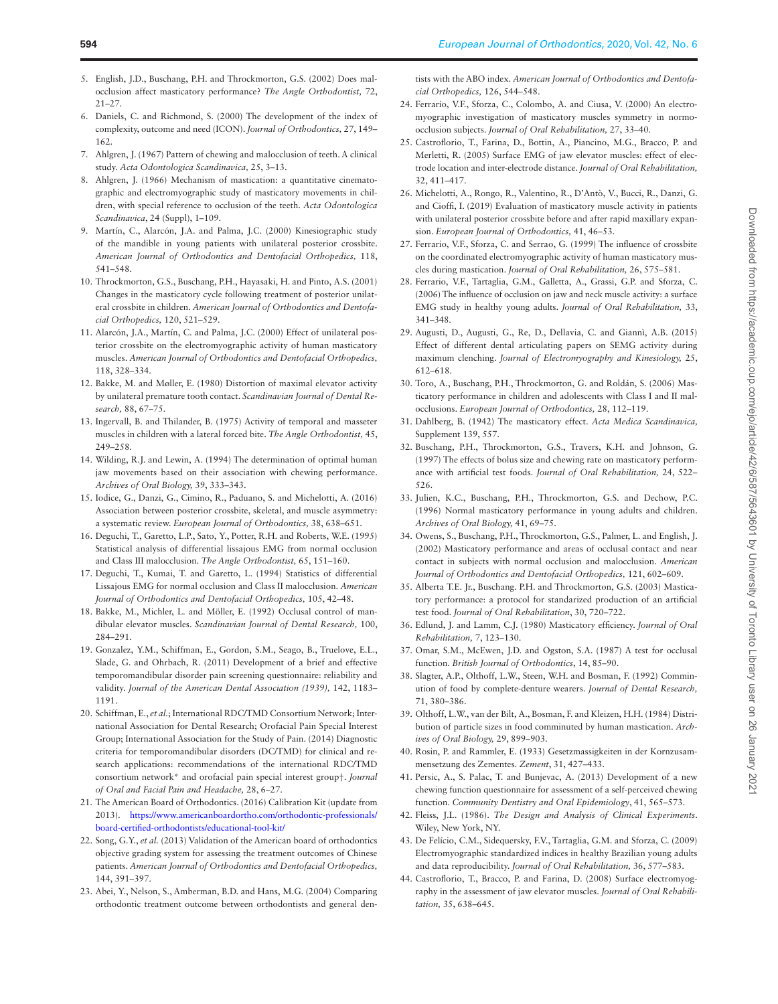- <span id="page-7-0"></span>5. English, J.D., Buschang, P.H. and Throckmorton, G.S. (2002) Does malocclusion affect masticatory performance? *The Angle Orthodontist,* 72, 21–27.
- <span id="page-7-1"></span>6. Daniels, C. and Richmond, S. (2000) The development of the index of complexity, outcome and need (ICON). *Journal of Orthodontics,* 27, 149– 162.
- <span id="page-7-2"></span>7. Ahlgren, J. (1967) Pattern of chewing and malocclusion of teeth. A clinical study. *Acta Odontologica Scandinavica,* 25, 3–13.
- 8. Ahlgren, J. (1966) Mechanism of mastication: a quantitative cinematographic and electromyographic study of masticatory movements in children, with special reference to occlusion of the teeth. *Acta Odontologica Scandinavica*, 24 (Suppl), 1–109.
- 9. Martín, C., Alarcón, J.A. and Palma, J.C. (2000) Kinesiographic study of the mandible in young patients with unilateral posterior crossbite. *American Journal of Orthodontics and Dentofacial Orthopedics,* 118, 541–548.
- <span id="page-7-3"></span>10. Throckmorton, G.S., Buschang, P.H., Hayasaki, H. and Pinto, A.S. (2001) Changes in the masticatory cycle following treatment of posterior unilateral crossbite in children. *American Journal of Orthodontics and Dentofacial Orthopedics,* 120, 521–529.
- <span id="page-7-4"></span>11. Alarcón, J.A., Martín, C. and Palma, J.C. (2000) Effect of unilateral posterior crossbite on the electromyographic activity of human masticatory muscles. *American Journal of Orthodontics and Dentofacial Orthopedics,* 118, 328–334.
- 12. Bakke, M. and Møller, E. (1980) Distortion of maximal elevator activity by unilateral premature tooth contact. *Scandinavian Journal of Dental Research,* 88, 67–75.
- 13. Ingervall, B. and Thilander, B. (1975) Activity of temporal and masseter muscles in children with a lateral forced bite. *The Angle Orthodontist,* 45, 249–258.
- 14. Wilding, R.J. and Lewin, A. (1994) The determination of optimal human jaw movements based on their association with chewing performance. *Archives of Oral Biology,* 39, 333–343.
- <span id="page-7-5"></span>15. Iodice, G., Danzi, G., Cimino, R., Paduano, S. and Michelotti, A. (2016) Association between posterior crossbite, skeletal, and muscle asymmetry: a systematic review. *European Journal of Orthodontics,* 38, 638–651.
- <span id="page-7-6"></span>16. Deguchi, T., Garetto, L.P., Sato, Y., Potter, R.H. and Roberts, W.E. (1995) Statistical analysis of differential lissajous EMG from normal occlusion and Class III malocclusion. *The Angle Orthodontist,* 65, 151–160.
- <span id="page-7-7"></span>17. Deguchi, T., Kumai, T. and Garetto, L. (1994) Statistics of differential Lissajous EMG for normal occlusion and Class II malocclusion. *American Journal of Orthodontics and Dentofacial Orthopedics,* 105, 42–48.
- <span id="page-7-8"></span>18. Bakke, M., Michler, L. and Möller, E. (1992) Occlusal control of mandibular elevator muscles. *Scandinavian Journal of Dental Research,* 100, 284–291.
- <span id="page-7-9"></span>19. Gonzalez, Y.M., Schiffman, E., Gordon, S.M., Seago, B., Truelove, E.L., Slade, G. and Ohrbach, R. (2011) Development of a brief and effective temporomandibular disorder pain screening questionnaire: reliability and validity. *Journal of the American Dental Association (1939),* 142, 1183– 1191.
- <span id="page-7-10"></span>20. Schiffman, E., *et al.*; International RDC/TMD Consortium Network; International Association for Dental Research; Orofacial Pain Special Interest Group; International Association for the Study of Pain. (2014) Diagnostic criteria for temporomandibular disorders (DC/TMD) for clinical and research applications: recommendations of the international RDC/TMD consortium network\* and orofacial pain special interest group†. *Journal of Oral and Facial Pain and Headache,* 28, 6–27.
- <span id="page-7-11"></span>21. The American Board of Orthodontics. (2016) Calibration Kit (update from 2013). [https://www.americanboardortho.com/orthodontic-professionals/](https://www.americanboardortho.com/orthodontic-professionals/board-certified-orthodontists/educational-tool-kit/) [board-certified-orthodontists/educational-tool-kit/](https://www.americanboardortho.com/orthodontic-professionals/board-certified-orthodontists/educational-tool-kit/)
- <span id="page-7-12"></span>22. Song, G.Y., *et al.* (2013) Validation of the American board of orthodontics objective grading system for assessing the treatment outcomes of Chinese patients. *American Journal of Orthodontics and Dentofacial Orthopedics,* 144, 391–397.
- <span id="page-7-13"></span>23. Abei, Y., Nelson, S., Amberman, B.D. and Hans, M.G. (2004) Comparing orthodontic treatment outcome between orthodontists and general den-

tists with the ABO index. *American Journal of Orthodontics and Dentofacial Orthopedics,* 126, 544–548.

- <span id="page-7-14"></span>24. Ferrario, V.F., Sforza, C., Colombo, A. and Ciusa, V. (2000) An electromyographic investigation of masticatory muscles symmetry in normoocclusion subjects. *Journal of Oral Rehabilitation,* 27, 33–40.
- <span id="page-7-15"></span>25. Castroflorio, T., Farina, D., Bottin, A., Piancino, M.G., Bracco, P. and Merletti, R. (2005) Surface EMG of jaw elevator muscles: effect of electrode location and inter-electrode distance. *Journal of Oral Rehabilitation,* 32, 411–417.
- <span id="page-7-16"></span>26. Michelotti, A., Rongo, R., Valentino, R., D'Antò, V., Bucci, R., Danzi, G. and Cioffi, I. (2019) Evaluation of masticatory muscle activity in patients with unilateral posterior crossbite before and after rapid maxillary expansion. *European Journal of Orthodontics,* 41, 46–53.
- <span id="page-7-17"></span>27. Ferrario, V.F., Sforza, C. and Serrao, G. (1999) The influence of crossbite on the coordinated electromyographic activity of human masticatory muscles during mastication. *Journal of Oral Rehabilitation,* 26, 575–581.
- <span id="page-7-18"></span>28. Ferrario, V.F., Tartaglia, G.M., Galletta, A., Grassi, G.P. and Sforza, C. (2006) The influence of occlusion on jaw and neck muscle activity: a surface EMG study in healthy young adults. *Journal of Oral Rehabilitation,* 33, 341–348.
- <span id="page-7-19"></span>29. Augusti, D., Augusti, G., Re, D., Dellavia, C. and Giannì, A.B. (2015) Effect of different dental articulating papers on SEMG activity during maximum clenching. *Journal of Electromyography and Kinesiology,* 25, 612–618.
- <span id="page-7-20"></span>30. Toro, A., Buschang, P.H., Throckmorton, G. and Roldán, S. (2006) Masticatory performance in children and adolescents with Class I and II malocclusions. *European Journal of Orthodontics,* 28, 112–119.
- 31. Dahlberg, B. (1942) The masticatory effect. *Acta Medica Scandinavica,*  Supplement 139, 557.
- <span id="page-7-23"></span>32. Buschang, P.H., Throckmorton, G.S., Travers, K.H. and Johnson, G. (1997) The effects of bolus size and chewing rate on masticatory performance with artificial test foods. *Journal of Oral Rehabilitation,* 24, 522– 526.
- <span id="page-7-24"></span>33. Julien, K.C., Buschang, P.H., Throckmorton, G.S. and Dechow, P.C. (1996) Normal masticatory performance in young adults and children. *Archives of Oral Biology,* 41, 69–75.
- <span id="page-7-26"></span>34. Owens, S., Buschang, P.H., Throckmorton, G.S., Palmer, L. and English, J. (2002) Masticatory performance and areas of occlusal contact and near contact in subjects with normal occlusion and malocclusion. *American Journal of Orthodontics and Dentofacial Orthopedics,* 121, 602–609.
- <span id="page-7-22"></span>35. Alberta T.E. Jr., Buschang. P.H. and Throckmorton, G.S. (2003) Masticatory performance: a protocol for standarized production of an artificial test food. *Journal of Oral Rehabilitation*, 30, 720–722.
- <span id="page-7-21"></span>36. Edlund, J. and Lamm, C.J. (1980) Masticatory efficiency. *Journal of Oral Rehabilitation,* 7, 123–130.
- <span id="page-7-25"></span>37. Omar, S.M., McEwen, J.D. and Ogston, S.A. (1987) A test for occlusal function. *British Journal of Orthodontics*, 14, 85–90.
- <span id="page-7-27"></span>38. Slagter, A.P., Olthoff, L.W., Steen, W.H. and Bosman, F. (1992) Comminution of food by complete-denture wearers. *Journal of Dental Research,* 71, 380–386.
- 39. Olthoff, L.W., van der Bilt, A., Bosman, F. and Kleizen, H.H. (1984) Distribution of particle sizes in food comminuted by human mastication. *Archives of Oral Biology,* 29, 899–903.
- <span id="page-7-28"></span>40. Rosin, P. and Rammler, E. (1933) Gesetzmassigkeiten in der Kornzusammensetzung des Zementes. *Zement*, 31, 427–433.
- <span id="page-7-29"></span>41. Persic, A., S. Palac, T. and Bunjevac, A. (2013) Development of a new chewing function questionnaire for assessment of a self-perceived chewing function. *Community Dentistry and Oral Epidemiology*, 41, 565–573.
- <span id="page-7-30"></span>42. Fleiss, J.L. (1986). *The Design and Analysis of Clinical Experiments*. Wiley, New York, NY.
- <span id="page-7-31"></span>43. De Felício, C.M., Sidequersky, F.V., Tartaglia, G.M. and Sforza, C. (2009) Electromyographic standardized indices in healthy Brazilian young adults and data reproducibility. *Journal of Oral Rehabilitation,* 36, 577–583.
- <span id="page-7-32"></span>44. Castroflorio, T., Bracco, P. and Farina, D. (2008) Surface electromyography in the assessment of jaw elevator muscles. *Journal of Oral Rehabilitation,* 35, 638–645.